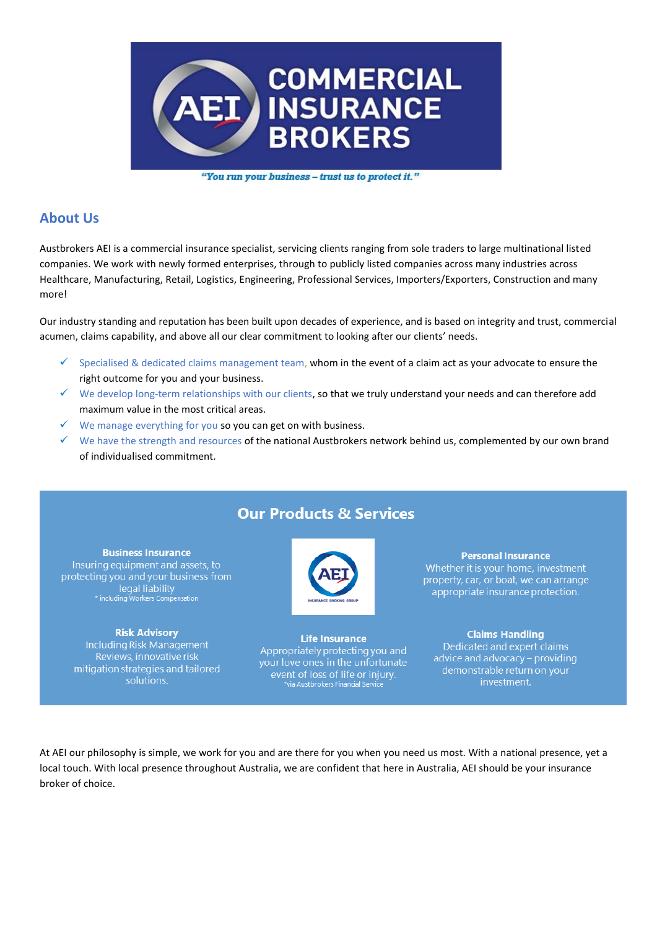

"You run your business - trust us to protect it."

# **About Us**

Austbrokers AEI is a commercial insurance specialist, servicing clients ranging from sole traders to large multinational listed companies. We work with newly formed enterprises, through to publicly listed companies across many industries across Healthcare, Manufacturing, Retail, Logistics, Engineering, Professional Services, Importers/Exporters, Construction and many more!

Our industry standing and reputation has been built upon decades of experience, and is based on integrity and trust, commercial acumen, claims capability, and above all our clear commitment to looking after our clients' needs.

- $\checkmark$  Specialised & dedicated claims management team, whom in the event of a claim act as your advocate to ensure the right outcome for you and your business.
- $\checkmark$  We develop long-term relationships with our clients, so that we truly understand your needs and can therefore add maximum value in the most critical areas.
- $\checkmark$  We manage everything for you so you can get on with business.
- ✓ We have the strength and resources of the national Austbrokers network behind us, complemented by our own brand of individualised commitment.

# **Our Products & Services**



**Life Insurance** Appropriately protecting you and your love ones in the unfortunate event of loss of life or injury.<br>\*via Austbrokers Finandal Service

#### **Personal Insurance**

Whether it is your home, investment property, car, or boat, we can arrange appropriate insurance protection.

#### **Claims Handling**

Dedicated and expert claims advice and advocacy - providing demonstrable return on your investment.

At AEI our philosophy is simple, we work for you and are there for you when you need us most. With a national presence, yet a local touch. With local presence throughout Australia, we are confident that here in Australia, AEI should be your insurance broker of choice.

**Business Insurance** Insuring equipment and assets, to protecting you and your business from legal liability<br>
\* including Workers Compensation

#### **Risk Advisory**

Including Risk Management Reviews, innovative risk mitigation strategies and tailored solutions.